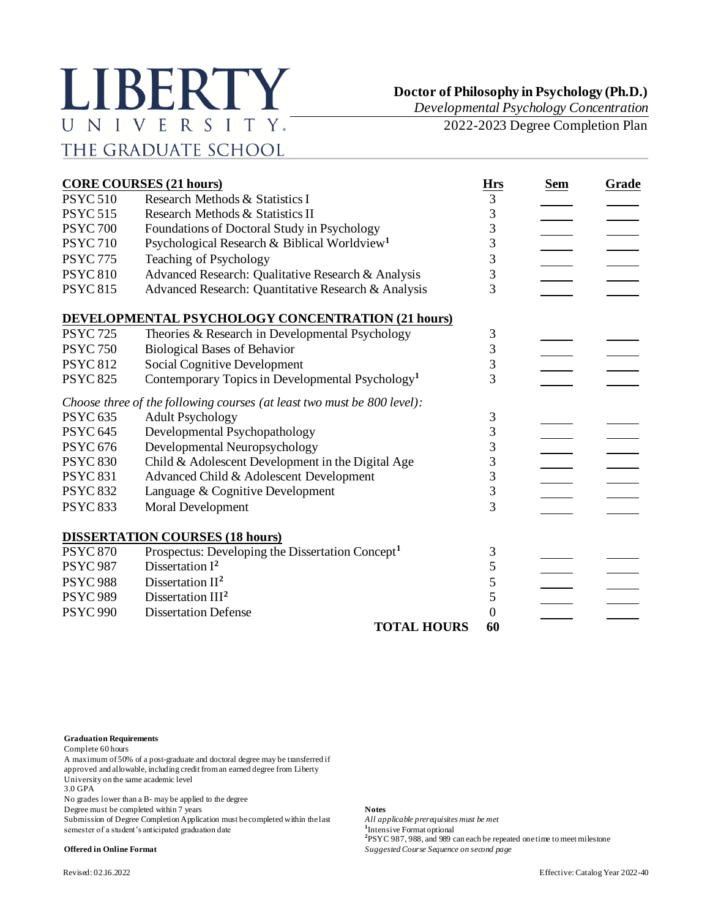## LIBERTY UNIVERSITY. THE GRADUATE SCHOOL

## **Doctor of Philosophy in Psychology (Ph.D.)**

*Developmental Psychology Concentration*

2022-2023 Degree Completion Plan

| <b>CORE COURSES (21 hours)</b> |                                                                         |                | <b>Sem</b> | Grade |
|--------------------------------|-------------------------------------------------------------------------|----------------|------------|-------|
| <b>PSYC 510</b>                | Research Methods & Statistics I                                         | 3              |            |       |
| <b>PSYC 515</b>                | Research Methods & Statistics II                                        | 3              |            |       |
| <b>PSYC 700</b>                | Foundations of Doctoral Study in Psychology                             | 3              |            |       |
| <b>PSYC710</b>                 | Psychological Research & Biblical Worldview <sup>1</sup>                | 3              |            |       |
| <b>PSYC 775</b>                | Teaching of Psychology                                                  | 3              |            |       |
| <b>PSYC 810</b>                | Advanced Research: Qualitative Research & Analysis                      | 3              |            |       |
| <b>PSYC 815</b>                | Advanced Research: Quantitative Research & Analysis                     | $\overline{3}$ |            |       |
|                                | DEVELOPMENTAL PSYCHOLOGY CONCENTRATION (21 hours)                       |                |            |       |
| <b>PSYC 725</b>                | Theories & Research in Developmental Psychology                         | 3              |            |       |
| <b>PSYC 750</b>                | <b>Biological Bases of Behavior</b>                                     | 3              |            |       |
| <b>PSYC 812</b>                | <b>Social Cognitive Development</b>                                     | 3              |            |       |
| <b>PSYC 825</b>                | Contemporary Topics in Developmental Psychology <sup>1</sup>            | 3              |            |       |
|                                | Choose three of the following courses (at least two must be 800 level): |                |            |       |
| <b>PSYC 635</b>                | <b>Adult Psychology</b>                                                 | 3              |            |       |
| <b>PSYC 645</b>                | Developmental Psychopathology                                           | 3              |            |       |
| <b>PSYC 676</b>                | Developmental Neuropsychology                                           | 3              |            |       |
| <b>PSYC 830</b>                | Child & Adolescent Development in the Digital Age                       | 3              |            |       |
| <b>PSYC 831</b>                | Advanced Child & Adolescent Development                                 | 3              |            |       |
| <b>PSYC 832</b>                | Language & Cognitive Development                                        | 3              |            |       |
| <b>PSYC 833</b>                | Moral Development                                                       | 3              |            |       |
|                                | <b>DISSERTATION COURSES (18 hours)</b>                                  |                |            |       |
| <b>PSYC 870</b>                | Prospectus: Developing the Dissertation Concept <sup>1</sup>            | 3              |            |       |
| <b>PSYC 987</b>                | Dissertation $I^2$                                                      | 5              |            |       |
| <b>PSYC 988</b>                | Dissertation $II2$                                                      | 5              |            |       |
| <b>PSYC 989</b>                | Dissertation $III2$                                                     | 5              |            |       |
| <b>PSYC 990</b>                | <b>Dissertation Defense</b>                                             | 0              |            |       |
|                                | <b>TOTAL HOURS</b>                                                      | 60             |            |       |

**Graduation Requirements**

Complete 60 hours

A maximum of 50% of a post-graduate and doctoral degree may be transferred if approved and allowable, including credit from an earned degree from Liberty

University on the same academic level

3.0 GPA

No grades lower than a B- may be applied to the degree

Degree must be completed within 7 years **Notes**

Submission of Degree Completion Application must be completed within the last *All applicable prerequisites must be met* semester of a student's anticipated graduation date

<sup>1</sup>Intensive Format optional **2** PSYC 987, 988, and 989 can each be repeated one time to meet milestone **Offered in Online Format** *Suggested Course Sequence on second page*